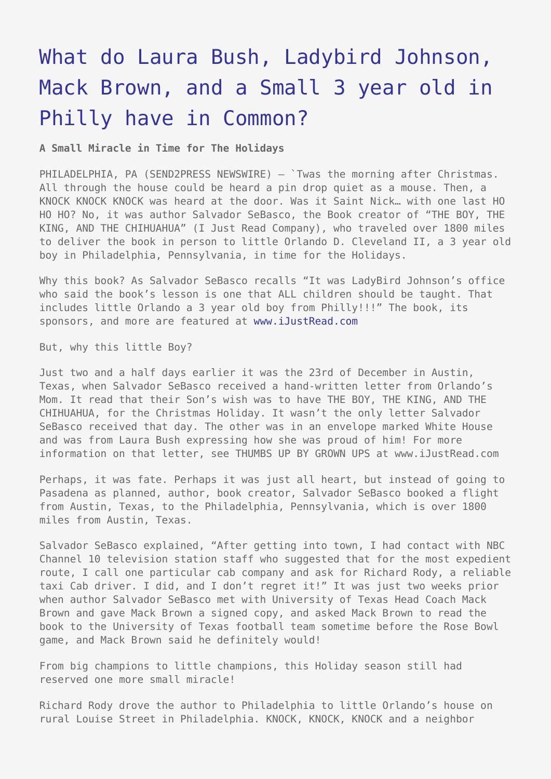## [What do Laura Bush, Ladybird Johnson,](https://www.send2press.com/wire/2005-12-1230-002/) [Mack Brown, and a Small 3 year old in](https://www.send2press.com/wire/2005-12-1230-002/) [Philly have in Common?](https://www.send2press.com/wire/2005-12-1230-002/)

**A Small Miracle in Time for The Holidays**

PHILADELPHIA, PA (SEND2PRESS NEWSWIRE) - `Twas the morning after Christmas. All through the house could be heard a pin drop quiet as a mouse. Then, a KNOCK KNOCK KNOCK was heard at the door. Was it Saint Nick… with one last HO HO HO? No, it was author Salvador SeBasco, the Book creator of "THE BOY, THE KING, AND THE CHIHUAHUA" (I Just Read Company), who traveled over 1800 miles to deliver the book in person to little Orlando D. Cleveland II, a 3 year old boy in Philadelphia, Pennsylvania, in time for the Holidays.

Why this book? As Salvador SeBasco recalls "It was LadyBird Johnson's office who said the book's lesson is one that ALL children should be taught. That includes little Orlando a 3 year old boy from Philly!!!" The book, its sponsors, and more are featured at [www.iJustRead.com](http://www.iJustRead.com)

But, why this little Boy?

Just two and a half days earlier it was the 23rd of December in Austin, Texas, when Salvador SeBasco received a hand-written letter from Orlando's Mom. It read that their Son's wish was to have THE BOY, THE KING, AND THE CHIHUAHUA, for the Christmas Holiday. It wasn't the only letter Salvador SeBasco received that day. The other was in an envelope marked White House and was from Laura Bush expressing how she was proud of him! For more information on that letter, see THUMBS UP BY GROWN UPS at www.iJustRead.com

Perhaps, it was fate. Perhaps it was just all heart, but instead of going to Pasadena as planned, author, book creator, Salvador SeBasco booked a flight from Austin, Texas, to the Philadelphia, Pennsylvania, which is over 1800 miles from Austin, Texas.

Salvador SeBasco explained, "After getting into town, I had contact with NBC Channel 10 television station staff who suggested that for the most expedient route, I call one particular cab company and ask for Richard Rody, a reliable taxi Cab driver. I did, and I don't regret it!" It was just two weeks prior when author Salvador SeBasco met with University of Texas Head Coach Mack Brown and gave Mack Brown a signed copy, and asked Mack Brown to read the book to the University of Texas football team sometime before the Rose Bowl game, and Mack Brown said he definitely would!

From big champions to little champions, this Holiday season still had reserved one more small miracle!

Richard Rody drove the author to Philadelphia to little Orlando's house on rural Louise Street in Philadelphia. KNOCK, KNOCK, KNOCK and a neighbor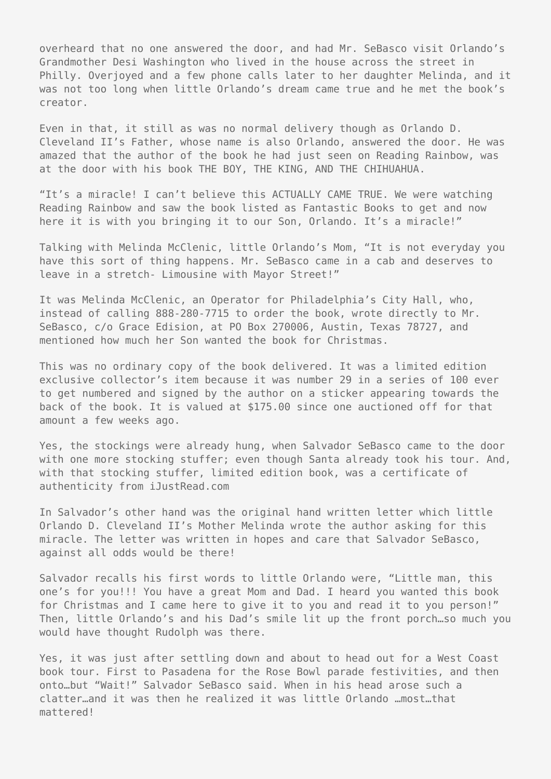overheard that no one answered the door, and had Mr. SeBasco visit Orlando's Grandmother Desi Washington who lived in the house across the street in Philly. Overjoyed and a few phone calls later to her daughter Melinda, and it was not too long when little Orlando's dream came true and he met the book's creator.

Even in that, it still as was no normal delivery though as Orlando D. Cleveland II's Father, whose name is also Orlando, answered the door. He was amazed that the author of the book he had just seen on Reading Rainbow, was at the door with his book THE BOY, THE KING, AND THE CHIHUAHUA.

"It's a miracle! I can't believe this ACTUALLY CAME TRUE. We were watching Reading Rainbow and saw the book listed as Fantastic Books to get and now here it is with you bringing it to our Son, Orlando. It's a miracle!"

Talking with Melinda McClenic, little Orlando's Mom, "It is not everyday you have this sort of thing happens. Mr. SeBasco came in a cab and deserves to leave in a stretch- Limousine with Mayor Street!"

It was Melinda McClenic, an Operator for Philadelphia's City Hall, who, instead of calling 888-280-7715 to order the book, wrote directly to Mr. SeBasco, c/o Grace Edision, at PO Box 270006, Austin, Texas 78727, and mentioned how much her Son wanted the book for Christmas.

This was no ordinary copy of the book delivered. It was a limited edition exclusive collector's item because it was number 29 in a series of 100 ever to get numbered and signed by the author on a sticker appearing towards the back of the book. It is valued at \$175.00 since one auctioned off for that amount a few weeks ago.

Yes, the stockings were already hung, when Salvador SeBasco came to the door with one more stocking stuffer; even though Santa already took his tour. And, with that stocking stuffer, limited edition book, was a certificate of authenticity from iJustRead.com

In Salvador's other hand was the original hand written letter which little Orlando D. Cleveland II's Mother Melinda wrote the author asking for this miracle. The letter was written in hopes and care that Salvador SeBasco, against all odds would be there!

Salvador recalls his first words to little Orlando were, "Little man, this one's for you!!! You have a great Mom and Dad. I heard you wanted this book for Christmas and I came here to give it to you and read it to you person!" Then, little Orlando's and his Dad's smile lit up the front porch…so much you would have thought Rudolph was there.

Yes, it was just after settling down and about to head out for a West Coast book tour. First to Pasadena for the Rose Bowl parade festivities, and then onto…but "Wait!" Salvador SeBasco said. When in his head arose such a clatter…and it was then he realized it was little Orlando …most…that mattered!